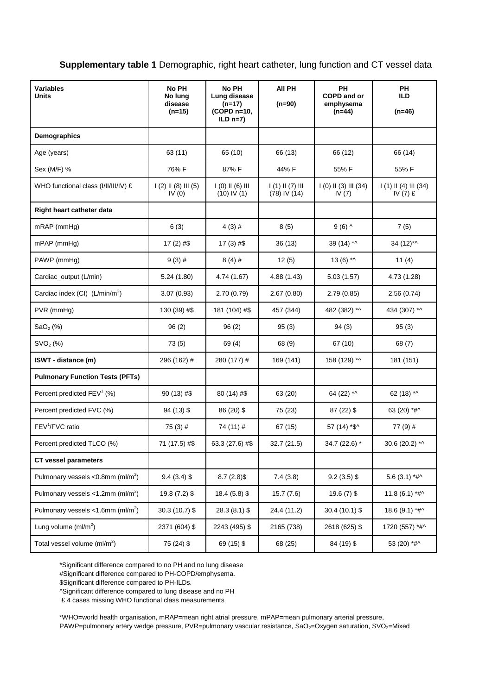## **Supplementary table 1** Demographic, right heart catheter, lung function and CT vessel data

| <b>Variables</b><br><b>Units</b>                  | No PH<br>No lung<br>disease<br>$(n=15)$ | No PH<br>Lung disease<br>$(n=17)$<br>(COPD n=10,<br>$ILD n=7)$ | All PH<br>$(n=90)$                      | PH<br><b>COPD and or</b><br>emphysema<br>$(n=44)$ | PН<br><b>ILD</b><br>$(n=46)$       |
|---------------------------------------------------|-----------------------------------------|----------------------------------------------------------------|-----------------------------------------|---------------------------------------------------|------------------------------------|
| Demographics                                      |                                         |                                                                |                                         |                                                   |                                    |
| Age (years)                                       | 63 (11)                                 | 65 (10)                                                        | 66 (13)                                 | 66 (12)                                           | 66 (14)                            |
| Sex (M/F) %                                       | 76% F                                   | 87% F                                                          | 44% F                                   | 55% F                                             | 55% F                              |
| WHO functional class (I/II/III/IV) £              | $1(2)$ II (8) III (5)<br>IV $(0)$       | $1(0)$ $1(6)$ $11$<br>$(10)$ IV $(1)$                          | $1(1)$ $1(7)$ $111$<br>$(78)$ IV $(14)$ | $1(0)$ II (3) III (34)<br>IV $(7)$                | $1(1)$ II (4) III (34)<br>IV (7) £ |
| Right heart catheter data                         |                                         |                                                                |                                         |                                                   |                                    |
| $mRAP$ ( $mmHg$ )                                 | 6(3)                                    | $4(3)$ #                                                       | 8(5)                                    | $9(6)$ ^                                          | 7(5)                               |
| $mPAP$ ( $mmHg$ )                                 | 17 $(2)$ #\$                            | $17(3)$ #\$                                                    | 36(13)                                  | 39 (14) *^                                        | 34 (12)*^                          |
| PAWP (mmHg)                                       | $9(3)$ #                                | $8(4)$ #                                                       | 12(5)                                   | 13 $(6)$ *^                                       | 11 $(4)$                           |
| Cardiac_output (L/min)                            | 5.24(1.80)                              | 4.74 (1.67)                                                    | 4.88 (1.43)                             | 5.03(1.57)                                        | 4.73 (1.28)                        |
| Cardiac index (CI) $(L/min/m2)$                   | 3.07(0.93)                              | 2.70 (0.79)                                                    | 2.67(0.80)                              | 2.79(0.85)                                        | 2.56(0.74)                         |
| PVR (mmHg)                                        | 130 (39) #\$                            | 181 (104) #\$                                                  | 457 (344)                               | 482 (382) *^                                      | 434 (307) *^                       |
| SaO <sub>2</sub> (%)                              | 96(2)                                   | 96(2)                                                          | 95(3)                                   | 94(3)                                             | 95(3)                              |
| SVO <sub>2</sub> (%)                              | 73 (5)                                  | 69 (4)                                                         | 68 (9)                                  | 67 (10)                                           | 68 (7)                             |
| ISWT - distance (m)                               | 296 (162) #                             | 280 (177) #                                                    | 169 (141)                               | 158 (129) *^                                      | 181 (151)                          |
| <b>Pulmonary Function Tests (PFTs)</b>            |                                         |                                                                |                                         |                                                   |                                    |
| Percent predicted $FEV^1$ (%)                     | $90(13)$ #\$                            | 80 (14) #\$                                                    | 63 (20)                                 | 64 (22) *^                                        | 62 (18) *^                         |
| Percent predicted FVC (%)                         | $94(13)$ \$                             | 86 (20) \$                                                     | 75 (23)                                 | $87(22)$ \$                                       | 63 (20) *#^                        |
| $FEV1/FVC$ ratio                                  | $75(3)$ #                               | 74 (11) #                                                      | 67 (15)                                 | 57 (14) *\$^                                      | 77 (9) #                           |
| Percent predicted TLCO (%)                        | 71 (17.5) #\$                           | 63.3 (27.6) #\$                                                | 32.7(21.5)                              | 34.7 (22.6) *                                     | 30.6 (20.2) *^                     |
| <b>CT vessel parameters</b>                       |                                         |                                                                |                                         |                                                   |                                    |
| Pulmonary vessels < $0.8$ mm (ml/m <sup>2</sup> ) | $9.4(3.4)$ \$                           | $8.7(2.8)$ \$                                                  | 7.4(3.8)                                | $9.2(3.5)$ \$                                     | 5.6 (3.1) *# $\wedge$              |
| Pulmonary vessels < $1.2$ mm (ml/m <sup>2</sup> ) | 19.8 (7.2) \$                           | 18.4 (5.8) \$                                                  | 15.7(7.6)                               | $19.6(7)$ \$                                      | 11.8 (6.1) *#^                     |
| Pulmonary vessels <1.6mm (ml/m <sup>2</sup> )     | 30.3 (10.7) \$                          | 28.3 (8.1) \$                                                  | 24.4 (11.2)                             | 30.4 (10.1) \$                                    | 18.6 (9.1) *#^                     |
| Lung volume $(mI/m2)$                             | 2371 (604) \$                           | 2243 (495) \$                                                  | 2165 (738)                              | 2618 (625) \$                                     | 1720 (557) *#^                     |
| Total vessel volume $(mI/m2)$                     | 75 (24) \$                              | 69 (15) \$                                                     | 68 (25)                                 | 84 (19) \$                                        | 53 (20) *#^                        |

\*Significant difference compared to no PH and no lung disease #Significant difference compared to PH-COPD/emphysema.

\$Significant difference compared to PH-ILDs.

^Significant difference compared to lung disease and no PH

£ 4 cases missing WHO functional class measurements

\*WHO=world health organisation, mRAP=mean right atrial pressure, mPAP=mean pulmonary arterial pressure,

PAWP=pulmonary artery wedge pressure, PVR=pulmonary vascular resistance, SaO<sub>2</sub>=Oxygen saturation, SVO<sub>2</sub>=Mixed